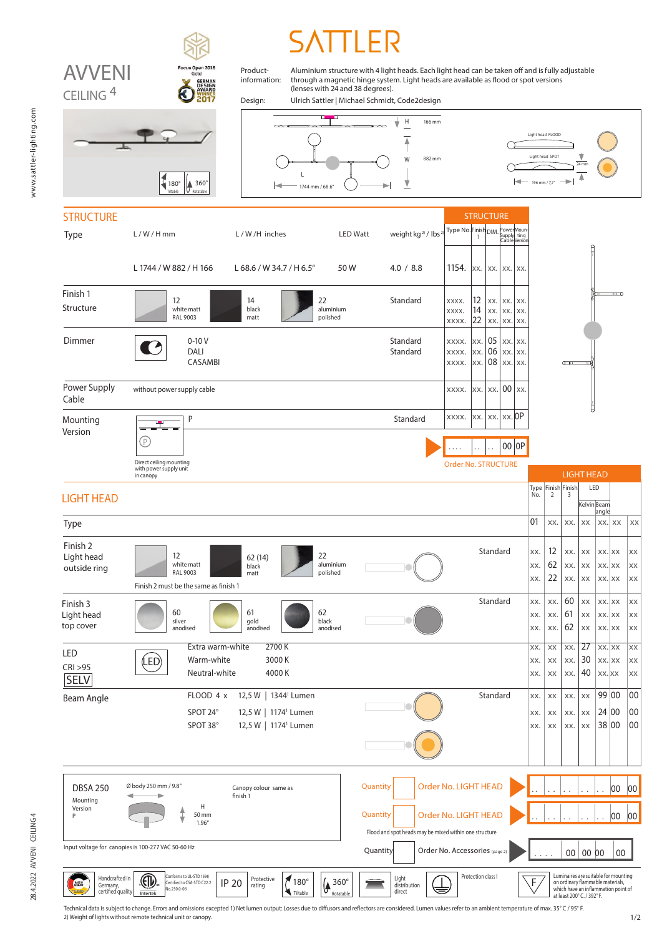

Technical data is subject to change. Errors and omissions excepted 1) Net lumen output: Losses due to diffusors and reflectors are considered. Lumen values refer to an ambient temperature of max. 35° C / 95° F. 2) Weight of lights without remote technical unit or canopy.